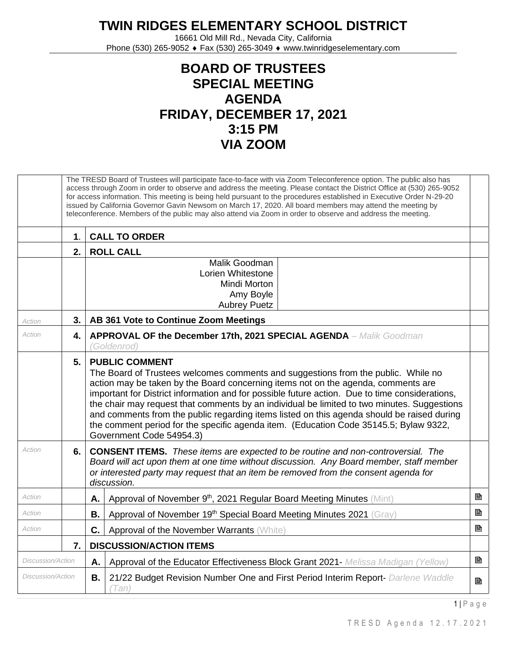## **TWIN RIDGES ELEMENTARY SCHOOL DISTRICT**

16661 Old Mill Rd., Nevada City, California Phone (530) 265-9052 ♦ Fax (530) 265-3049 ♦ www.twinridgeselementary.com

## **BOARD OF TRUSTEES SPECIAL MEETING AGENDA FRIDAY, DECEMBER 17, 2021 3:15 PM VIA ZOOM**

|                          |               | The TRESD Board of Trustees will participate face-to-face with via Zoom Teleconference option. The public also has<br>access through Zoom in order to observe and address the meeting. Please contact the District Office at (530) 265-9052<br>for access information. This meeting is being held pursuant to the procedures established in Executive Order N-29-20<br>issued by California Governor Gavin Newsom on March 17, 2020. All board members may attend the meeting by<br>teleconference. Members of the public may also attend via Zoom in order to observe and address the meeting.                     |   |
|--------------------------|---------------|---------------------------------------------------------------------------------------------------------------------------------------------------------------------------------------------------------------------------------------------------------------------------------------------------------------------------------------------------------------------------------------------------------------------------------------------------------------------------------------------------------------------------------------------------------------------------------------------------------------------|---|
|                          | $\mathbf 1$ . | <b>CALL TO ORDER</b>                                                                                                                                                                                                                                                                                                                                                                                                                                                                                                                                                                                                |   |
|                          | 2.            | <b>ROLL CALL</b>                                                                                                                                                                                                                                                                                                                                                                                                                                                                                                                                                                                                    |   |
|                          |               | Malik Goodman<br>Lorien Whitestone<br>Mindi Morton<br>Amy Boyle<br><b>Aubrey Puetz</b>                                                                                                                                                                                                                                                                                                                                                                                                                                                                                                                              |   |
| Action                   | 3.1           | AB 361 Vote to Continue Zoom Meetings                                                                                                                                                                                                                                                                                                                                                                                                                                                                                                                                                                               |   |
| Action                   | 4.            | <b>APPROVAL OF the December 17th, 2021 SPECIAL AGENDA - Malik Goodman</b><br>(Goldenrod)                                                                                                                                                                                                                                                                                                                                                                                                                                                                                                                            |   |
|                          | 5.            | <b>PUBLIC COMMENT</b><br>The Board of Trustees welcomes comments and suggestions from the public. While no<br>action may be taken by the Board concerning items not on the agenda, comments are<br>important for District information and for possible future action. Due to time considerations,<br>the chair may request that comments by an individual be limited to two minutes. Suggestions<br>and comments from the public regarding items listed on this agenda should be raised during<br>the comment period for the specific agenda item. (Education Code 35145.5; Bylaw 9322,<br>Government Code 54954.3) |   |
| Action                   | 6.            | <b>CONSENT ITEMS.</b> These items are expected to be routine and non-controversial. The<br>Board will act upon them at one time without discussion. Any Board member, staff member<br>or interested party may request that an item be removed from the consent agenda for<br>discussion.                                                                                                                                                                                                                                                                                                                            |   |
| Action                   |               | Approval of November 9th, 2021 Regular Board Meeting Minutes (Mint)<br>Α.                                                                                                                                                                                                                                                                                                                                                                                                                                                                                                                                           | B |
| Action                   |               | Approval of November 19th Special Board Meeting Minutes 2021 (Gray)<br>Β.                                                                                                                                                                                                                                                                                                                                                                                                                                                                                                                                           | B |
| Action                   |               | C.<br>Approval of the November Warrants (White)                                                                                                                                                                                                                                                                                                                                                                                                                                                                                                                                                                     | 昏 |
|                          | 7.            | <b>DISCUSSION/ACTION ITEMS</b>                                                                                                                                                                                                                                                                                                                                                                                                                                                                                                                                                                                      |   |
| Discussion/Action        |               | Approval of the Educator Effectiveness Block Grant 2021- Melissa Madigan (Yellow)<br>Α.                                                                                                                                                                                                                                                                                                                                                                                                                                                                                                                             | ₿ |
| <b>Discussion/Action</b> |               | В.<br>21/22 Budget Revision Number One and First Period Interim Report- Darlene Waddle<br>(Tan)                                                                                                                                                                                                                                                                                                                                                                                                                                                                                                                     | B |

1 | P a g e